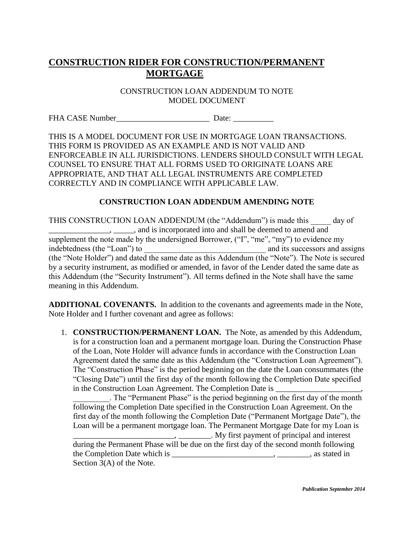# **CONSTRUCTION RIDER FOR CONSTRUCTION/PERMANENT MORTGAGE**

CONSTRUCTION LOAN ADDENDUM TO NOTE MODEL DOCUMENT

FHA CASE Number Date:

THIS IS A MODEL DOCUMENT FOR USE IN MORTGAGE LOAN TRANSACTIONS. THIS FORM IS PROVIDED AS AN EXAMPLE AND IS NOT VALID AND ENFORCEABLE IN ALL JURISDICTIONS. LENDERS SHOULD CONSULT WITH LEGAL COUNSEL TO ENSURE THAT ALL FORMS USED TO ORIGINATE LOANS ARE APPROPRIATE, AND THAT ALL LEGAL INSTRUMENTS ARE COMPLETED CORRECTLY AND IN COMPLIANCE WITH APPLICABLE LAW.

## **CONSTRUCTION LOAN ADDENDUM AMENDING NOTE**

THIS CONSTRUCTION LOAN ADDENDUM (the "Addendum") is made this day of  $\ldots$ ,  $\ldots$ , and is incorporated into and shall be deemed to amend and supplement the note made by the undersigned Borrower, ("I", "me", "my") to evidence my indebtedness (the "Loan") to \_\_\_\_\_\_\_\_\_\_\_\_\_\_\_\_\_\_\_\_\_\_\_\_\_\_\_\_\_\_ and its successors and assigns (the "Note Holder") and dated the same date as this Addendum (the "Note"). The Note is secured by a security instrument, as modified or amended, in favor of the Lender dated the same date as this Addendum (the "Security Instrument"). All terms defined in the Note shall have the same meaning in this Addendum.

**ADDITIONAL COVENANTS.** In addition to the covenants and agreements made in the Note, Note Holder and I further covenant and agree as follows:

1. **CONSTRUCTION/PERMANENT LOAN.** The Note, as amended by this Addendum, is for a construction loan and a permanent mortgage loan. During the Construction Phase of the Loan, Note Holder will advance funds in accordance with the Construction Loan Agreement dated the same date as this Addendum (the "Construction Loan Agreement"). The "Construction Phase" is the period beginning on the date the Loan consummates (the "Closing Date") until the first day of the month following the Completion Date specified in the Construction Loan Agreement. The Completion Date is \_\_\_\_\_\_\_\_\_\_\_\_\_\_\_\_\_\_\_\_\_

\_\_\_\_\_\_\_\_\_. The "Permanent Phase" is the period beginning on the first day of the month following the Completion Date specified in the Construction Loan Agreement. On the first day of the month following the Completion Date ("Permanent Mortgage Date"), the Loan will be a permanent mortgage loan. The Permanent Mortgage Date for my Loan is

\_\_\_\_\_\_\_\_\_\_\_\_\_\_\_\_\_\_\_\_\_\_\_\_\_, \_\_\_\_\_\_\_\_. My first payment of principal and interest during the Permanent Phase will be due on the first day of the second month following the Completion Date which is \_\_\_\_\_\_\_\_\_\_\_\_\_\_\_\_\_\_\_\_\_\_\_\_\_, \_\_\_\_\_\_\_\_, as stated in Section 3(A) of the Note.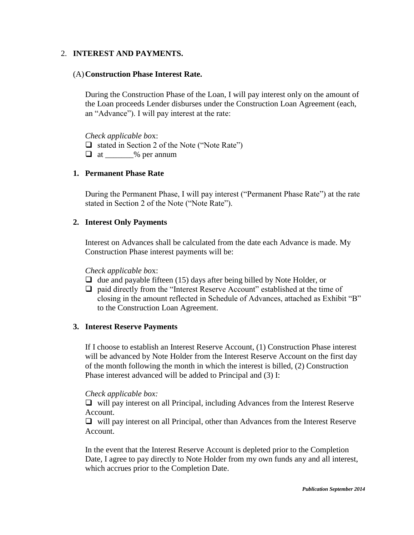## 2. **INTEREST AND PAYMENTS.**

### (A)**Construction Phase Interest Rate.**

During the Construction Phase of the Loan, I will pay interest only on the amount of the Loan proceeds Lender disburses under the Construction Loan Agreement (each, an "Advance"). I will pay interest at the rate:

*Check applicable bo*x:

 $\Box$  stated in Section 2 of the Note ("Note Rate")

 $\Box$  at  $\_\_\_\_\%$  per annum

#### **1. Permanent Phase Rate**

During the Permanent Phase, I will pay interest ("Permanent Phase Rate") at the rate stated in Section 2 of the Note ("Note Rate").

#### **2. Interest Only Payments**

Interest on Advances shall be calculated from the date each Advance is made. My Construction Phase interest payments will be:

*Check applicable bo*x:

- $\Box$  due and payable fifteen (15) days after being billed by Note Holder, or
- $\Box$  paid directly from the "Interest Reserve Account" established at the time of closing in the amount reflected in Schedule of Advances, attached as Exhibit "B" to the Construction Loan Agreement.

## **3. Interest Reserve Payments**

If I choose to establish an Interest Reserve Account, (1) Construction Phase interest will be advanced by Note Holder from the Interest Reserve Account on the first day of the month following the month in which the interest is billed, (2) Construction Phase interest advanced will be added to Principal and (3) I:

#### *Check applicable box:*

 $\Box$  will pay interest on all Principal, including Advances from the Interest Reserve Account.

 $\Box$  will pay interest on all Principal, other than Advances from the Interest Reserve Account.

In the event that the Interest Reserve Account is depleted prior to the Completion Date, I agree to pay directly to Note Holder from my own funds any and all interest, which accrues prior to the Completion Date.